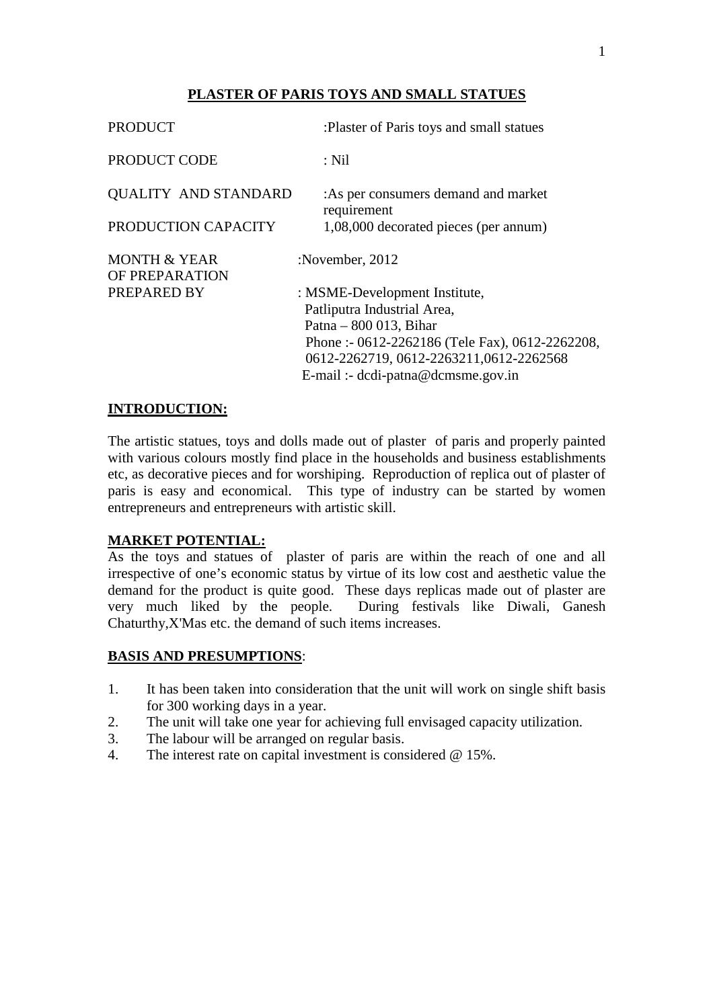# **PLASTER OF PARIS TOYS AND SMALL STATUES**

| <b>PRODUCT</b>                            | :Plaster of Paris toys and small statues                     |
|-------------------------------------------|--------------------------------------------------------------|
| PRODUCT CODE                              | : Nil                                                        |
| <b>QUALITY AND STANDARD</b>               | : As per consumers demand and market<br>requirement          |
| PRODUCTION CAPACITY                       | 1,08,000 decorated pieces (per annum)                        |
| <b>MONTH &amp; YEAR</b><br>OF PREPARATION | :November, 2012                                              |
| PREPARED BY                               | : MSME-Development Institute,<br>Patliputra Industrial Area, |
|                                           | Patna – $800\,013$ , Bihar                                   |
|                                           | Phone: - 0612-2262186 (Tele Fax), 0612-2262208,              |
|                                           | 0612-2262719, 0612-2263211, 0612-2262568                     |
|                                           | E-mail :- dcdi-patna@dcmsme.gov.in                           |

## **INTRODUCTION:**

The artistic statues, toys and dolls made out of plaster of paris and properly painted with various colours mostly find place in the households and business establishments etc, as decorative pieces and for worshiping. Reproduction of replica out of plaster of paris is easy and economical. This type of industry can be started by women entrepreneurs and entrepreneurs with artistic skill.

#### **MARKET POTENTIAL:**

As the toys and statues of plaster of paris are within the reach of one and all irrespective of one's economic status by virtue of its low cost and aesthetic value the demand for the product is quite good. These days replicas made out of plaster are very much liked by the people. During festivals like Diwali, Ganesh Chaturthy,X'Mas etc. the demand of such items increases.

#### **BASIS AND PRESUMPTIONS**:

- 1. It has been taken into consideration that the unit will work on single shift basis for 300 working days in a year.
- 2. The unit will take one year for achieving full envisaged capacity utilization.
- 3. The labour will be arranged on regular basis.
- 4. The interest rate on capital investment is considered @ 15%.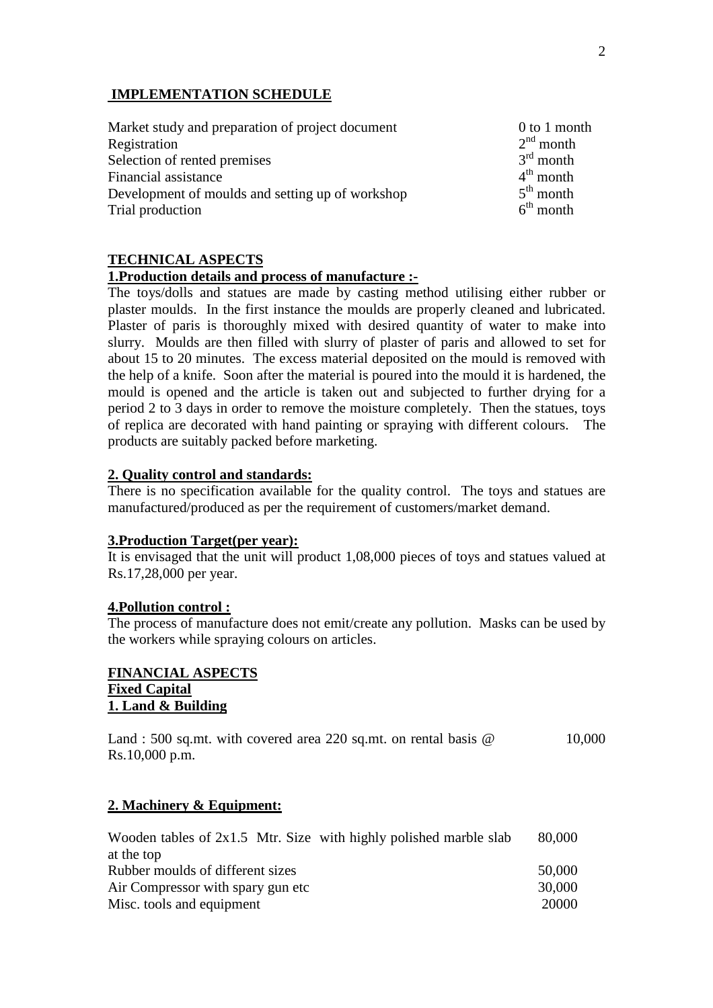## **IMPLEMENTATION SCHEDULE**

| Market study and preparation of project document | $0$ to 1 month        |
|--------------------------------------------------|-----------------------|
| Registration                                     | $2nd$ month           |
| Selection of rented premises                     | $3rd$ month           |
| Financial assistance                             | $4^{\text{th}}$ month |
| Development of moulds and setting up of workshop | $5th$ month           |
| Trial production                                 | $6th$ month           |

# **TECHNICAL ASPECTS**

#### **1.Production details and process of manufacture :-**

The toys/dolls and statues are made by casting method utilising either rubber or plaster moulds. In the first instance the moulds are properly cleaned and lubricated. Plaster of paris is thoroughly mixed with desired quantity of water to make into slurry. Moulds are then filled with slurry of plaster of paris and allowed to set for about 15 to 20 minutes. The excess material deposited on the mould is removed with the help of a knife. Soon after the material is poured into the mould it is hardened, the mould is opened and the article is taken out and subjected to further drying for a period 2 to 3 days in order to remove the moisture completely. Then the statues, toys of replica are decorated with hand painting or spraying with different colours. The products are suitably packed before marketing.

#### **2. Quality control and standards:**

There is no specification available for the quality control. The toys and statues are manufactured/produced as per the requirement of customers/market demand.

#### **3.Production Target(per year):**

It is envisaged that the unit will product 1,08,000 pieces of toys and statues valued at Rs.17,28,000 per year.

#### **4.Pollution control :**

The process of manufacture does not emit/create any pollution. Masks can be used by the workers while spraying colours on articles.

## **FINANCIAL ASPECTS Fixed Capital 1. Land & Building**

| Land: 500 sq.mt. with covered area 220 sq.mt. on rental basis $\omega$ |  |  | 10,000 |
|------------------------------------------------------------------------|--|--|--------|
| Rs.10,000 p.m.                                                         |  |  |        |

#### **2. Machinery & Equipment:**

| Wooden tables of $2x1.5$ Mtr. Size with highly polished marble slab | 80,000 |
|---------------------------------------------------------------------|--------|
| at the top                                                          |        |
| Rubber moulds of different sizes                                    | 50,000 |
| Air Compressor with spary gun etc                                   | 30,000 |
| Misc. tools and equipment                                           | 20000  |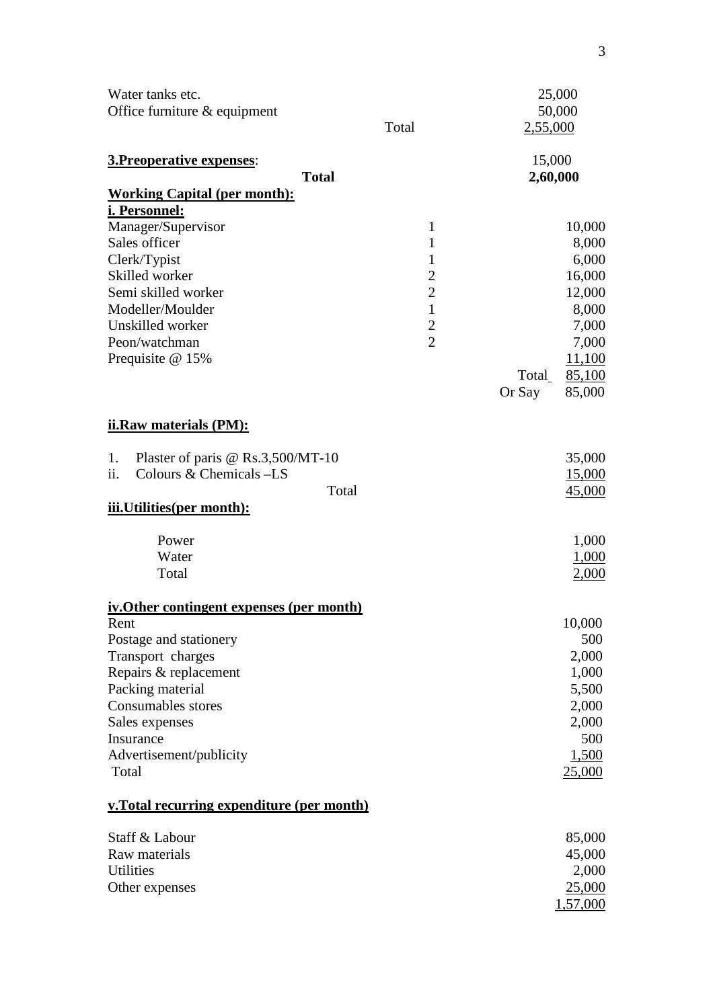| Water tanks etc.<br>Office furniture & equipment                                                                                                                                                                                                     | Total                                                                                                        | 25,000<br>50,000<br>2,55,000                                                                                             |
|------------------------------------------------------------------------------------------------------------------------------------------------------------------------------------------------------------------------------------------------------|--------------------------------------------------------------------------------------------------------------|--------------------------------------------------------------------------------------------------------------------------|
| 3. Preoperative expenses:<br><b>Total</b>                                                                                                                                                                                                            |                                                                                                              | 15,000<br>2,60,000                                                                                                       |
| <b>Working Capital (per month):</b><br><u>i. Personnel:</u><br>Manager/Supervisor<br>Sales officer<br>Clerk/Typist<br>Skilled worker<br>Semi skilled worker<br>Modeller/Moulder<br>Unskilled worker<br>Peon/watchman<br>Prequisite @ 15%             | $\mathbf{1}$<br>1<br>1<br>$\overline{2}$<br>$\overline{2}$<br>$\mathbf{1}$<br>$\mathbf{2}$<br>$\overline{2}$ | 10,000<br>8,000<br>6,000<br>16,000<br>12,000<br>8,000<br>7,000<br>7,000<br>11,100<br>85,100<br>Total<br>Or Say<br>85,000 |
| ii.Raw materials (PM):                                                                                                                                                                                                                               |                                                                                                              |                                                                                                                          |
| Plaster of paris @ $Rs.3,500/MT-10$<br>1.<br>ii.<br>Colours & Chemicals -LS<br>Total<br><u>iii.Utilities(per month):</u>                                                                                                                             |                                                                                                              | 35,000<br><u>15,000</u><br>45,000                                                                                        |
| Power<br>Water<br>Total                                                                                                                                                                                                                              |                                                                                                              | 1,000<br>1,000<br>2,000                                                                                                  |
| <u>iv. Other contingent expenses (per month)</u><br>Rent<br>Postage and stationery<br>Transport charges<br>Repairs & replacement<br>Packing material<br><b>Consumables stores</b><br>Sales expenses<br>Insurance<br>Advertisement/publicity<br>Total |                                                                                                              | 10,000<br>500<br>2,000<br>1,000<br>5,500<br>2,000<br>2,000<br>500<br>1,500<br><u>25,000</u>                              |
| v. Total recurring expenditure (per month)                                                                                                                                                                                                           |                                                                                                              |                                                                                                                          |
| Staff & Labour<br>Raw materials<br><b>Utilities</b><br>Other expenses                                                                                                                                                                                |                                                                                                              | 85,000<br>45,000<br>2,000<br><u>25,000</u><br>1,57,000                                                                   |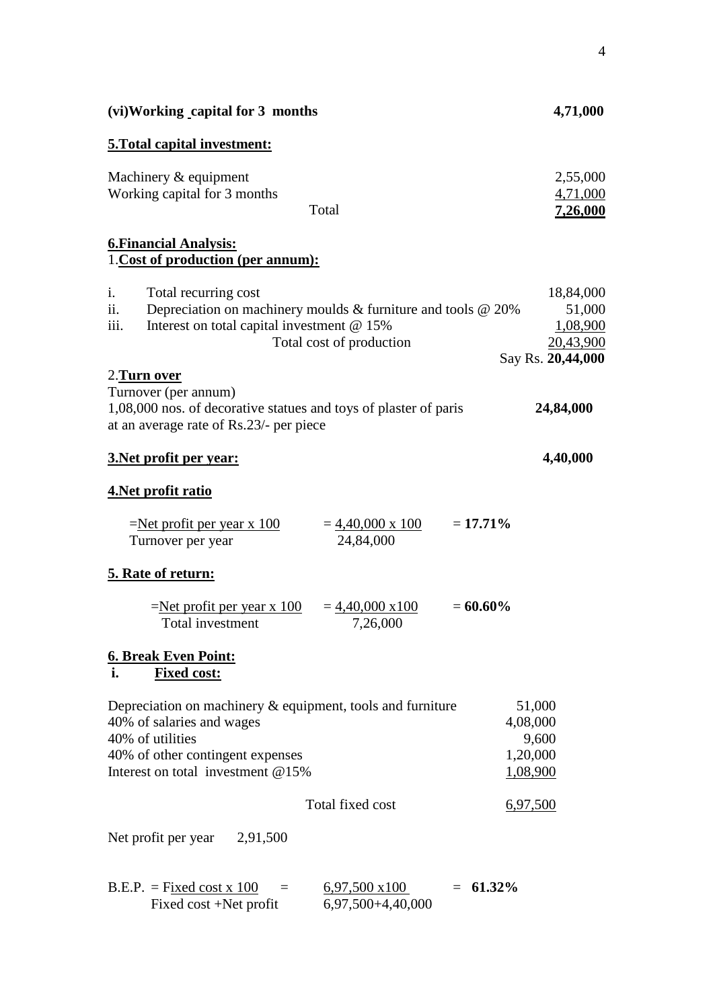| (vi) Working capital for 3 months                                                                                                                                                       | 4,71,000                                                          |
|-----------------------------------------------------------------------------------------------------------------------------------------------------------------------------------------|-------------------------------------------------------------------|
| 5. Total capital investment:                                                                                                                                                            |                                                                   |
| Machinery & equipment<br>Working capital for 3 months<br>Total                                                                                                                          | 2,55,000<br>4,71,000<br>7,26,000                                  |
| <b>6. Financial Analysis:</b><br>1. Cost of production (per annum):                                                                                                                     |                                                                   |
| Total recurring cost<br>i.<br>Depreciation on machinery moulds $&$ furniture and tools $&$ 20%<br>ii.<br>iii.<br>Interest on total capital investment @ 15%<br>Total cost of production | 18,84,000<br>51,000<br>1,08,900<br>20,43,900<br>Say Rs. 20,44,000 |
| 2. Turn over<br>Turnover (per annum)<br>1,08,000 nos. of decorative statues and toys of plaster of paris<br>at an average rate of Rs.23/- per piece                                     | 24,84,000                                                         |
| 3. Net profit per year:                                                                                                                                                                 | 4,40,000                                                          |
| 4. Net profit ratio                                                                                                                                                                     |                                                                   |
| $= 17.71\%$<br>$=\text{Net profit per year x } 100$<br>$=\frac{4,40,000 \times 100}{$<br>24,84,000<br>Turnover per year                                                                 |                                                                   |
| 5. Rate of return:                                                                                                                                                                      |                                                                   |
| $= 60.60\%$<br>$=\text{Net profit per year x } 100$<br>$= 4,40,000 \times 100$<br>Total investment<br>7,26,000                                                                          |                                                                   |
| <b>6. Break Even Point:</b><br>i.<br><b>Fixed cost:</b>                                                                                                                                 |                                                                   |
| Depreciation on machinery $\&$ equipment, tools and furniture<br>40% of salaries and wages<br>40% of utilities<br>40% of other contingent expenses                                      | 51,000<br>4,08,000<br>9,600<br>1,20,000                           |
| Interest on total investment $@15\%$                                                                                                                                                    | 1,08,900                                                          |
| Total fixed cost                                                                                                                                                                        | 6,97,500                                                          |
| Net profit per year $2,91,500$                                                                                                                                                          |                                                                   |
| $B.E.P. = Fixed cost x 100$<br>$= 61.32\%$<br>$6,97,500 \times 100$<br>Fixed cost +Net profit<br>6,97,500+4,40,000                                                                      |                                                                   |